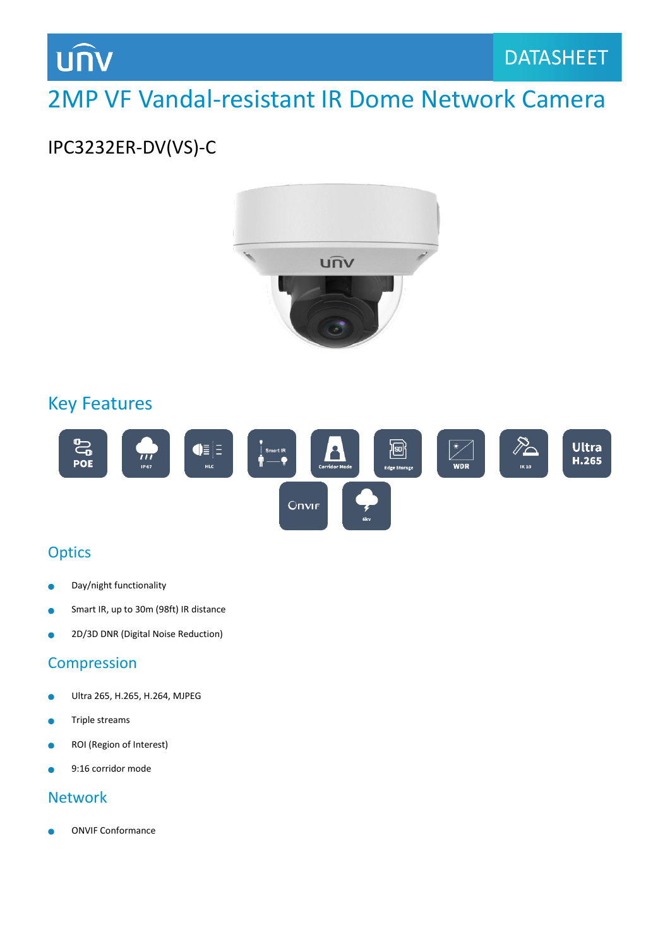

## 2MP VF Vandal-resistant IR Dome Network Camera

### IPC3232ER-DV(VS)-C



#### Key Features



#### **Optics**

- Day/night functionality Ċ
- Smart IR, up to 30m (98ft) IR distance
- 2D/3D DNR (Digital Noise Reduction) ò

#### Compression

- Ultra 265, H.265, H.264, MJPEG  $\bullet$
- Triple streams  $\bullet$
- ROI (Region of Interest) ò
- 9:16 corridor mode ò

#### **Network**

ONVIF Conformance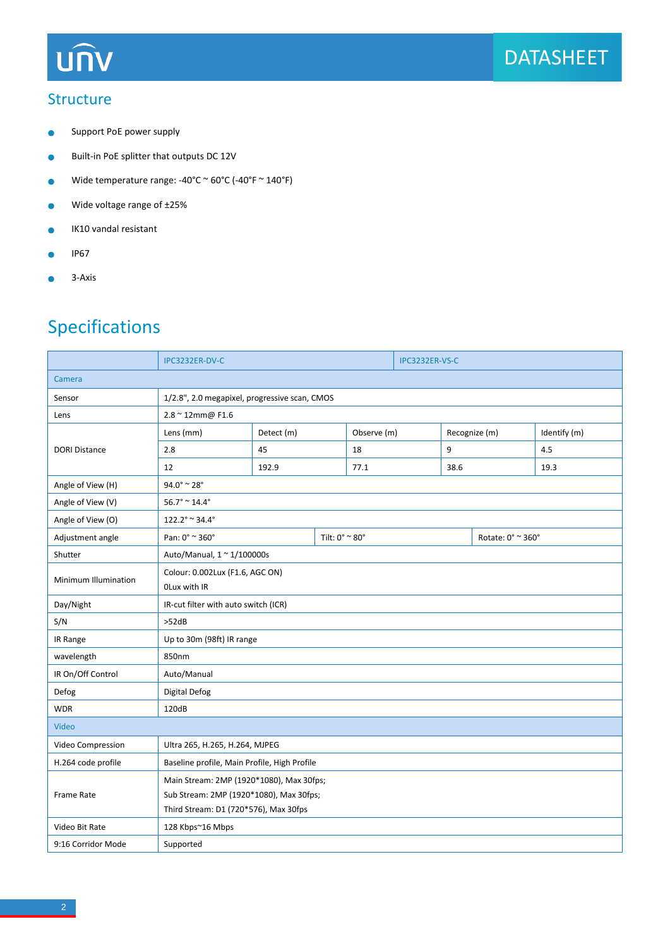## **UNV**

#### **Structure**

- Support PoE power supply  $\bullet$
- Built-in PoE splitter that outputs DC 12V  $\bullet$
- Wide temperature range: -40°C  $\sim$  60°C (-40°F  $\sim$  140°F)  $\bullet$
- Wide voltage range of ±25%  $\bullet$
- IK10 vandal resistant  $\bullet$
- IP67  $\bullet$
- $\bullet$ 3-Axis

### Specifications

|                                          | IPC3232ER-DV-C                                                                   |                |  | IPC3232ER-VS-C |   |                   |               |              |  |
|------------------------------------------|----------------------------------------------------------------------------------|----------------|--|----------------|---|-------------------|---------------|--------------|--|
| Camera                                   |                                                                                  |                |  |                |   |                   |               |              |  |
| Sensor                                   | 1/2.8", 2.0 megapixel, progressive scan, CMOS                                    |                |  |                |   |                   |               |              |  |
| Lens                                     | 2.8 ~ 12mm@ F1.6                                                                 |                |  |                |   |                   |               |              |  |
| <b>DORI Distance</b>                     | Lens (mm)                                                                        | Detect (m)     |  | Observe (m)    |   |                   | Recognize (m) | Identify (m) |  |
|                                          | 2.8                                                                              | 45             |  | 18             | 9 |                   |               | 4.5          |  |
|                                          | 12                                                                               | 192.9          |  | 77.1           |   | 38.6              |               | 19.3         |  |
| Angle of View (H)                        | $94.0^\circ$ ~ 28°                                                               |                |  |                |   |                   |               |              |  |
| Angle of View (V)                        | $56.7^{\circ} \approx 14.4^{\circ}$                                              |                |  |                |   |                   |               |              |  |
| Angle of View (O)                        | $122.2^{\circ} \approx 34.4^{\circ}$                                             |                |  |                |   |                   |               |              |  |
| Adjustment angle                         | Pan: 0° ~ 360°                                                                   | Tilt: 0° ~ 80° |  |                |   | Rotate: 0° ~ 360° |               |              |  |
| Shutter                                  | Auto/Manual, $1 \approx 1/100000$ s                                              |                |  |                |   |                   |               |              |  |
| Minimum Illumination                     | Colour: 0.002Lux (F1.6, AGC ON)<br>OLux with IR                                  |                |  |                |   |                   |               |              |  |
| Day/Night                                | IR-cut filter with auto switch (ICR)                                             |                |  |                |   |                   |               |              |  |
| S/N                                      | >52dB                                                                            |                |  |                |   |                   |               |              |  |
| IR Range                                 | Up to 30m (98ft) IR range                                                        |                |  |                |   |                   |               |              |  |
| wavelength                               | 850nm                                                                            |                |  |                |   |                   |               |              |  |
| IR On/Off Control                        | Auto/Manual                                                                      |                |  |                |   |                   |               |              |  |
| Defog                                    | Digital Defog                                                                    |                |  |                |   |                   |               |              |  |
| <b>WDR</b>                               | 120dB                                                                            |                |  |                |   |                   |               |              |  |
| Video                                    |                                                                                  |                |  |                |   |                   |               |              |  |
| Video Compression                        | Ultra 265, H.265, H.264, MJPEG                                                   |                |  |                |   |                   |               |              |  |
| H.264 code profile                       | Baseline profile, Main Profile, High Profile                                     |                |  |                |   |                   |               |              |  |
| Main Stream: 2MP (1920*1080), Max 30fps; |                                                                                  |                |  |                |   |                   |               |              |  |
| <b>Frame Rate</b>                        | Sub Stream: 2MP (1920*1080), Max 30fps;<br>Third Stream: D1 (720*576), Max 30fps |                |  |                |   |                   |               |              |  |
| Video Bit Rate                           | 128 Kbps~16 Mbps                                                                 |                |  |                |   |                   |               |              |  |
| 9:16 Corridor Mode                       | Supported                                                                        |                |  |                |   |                   |               |              |  |
|                                          |                                                                                  |                |  |                |   |                   |               |              |  |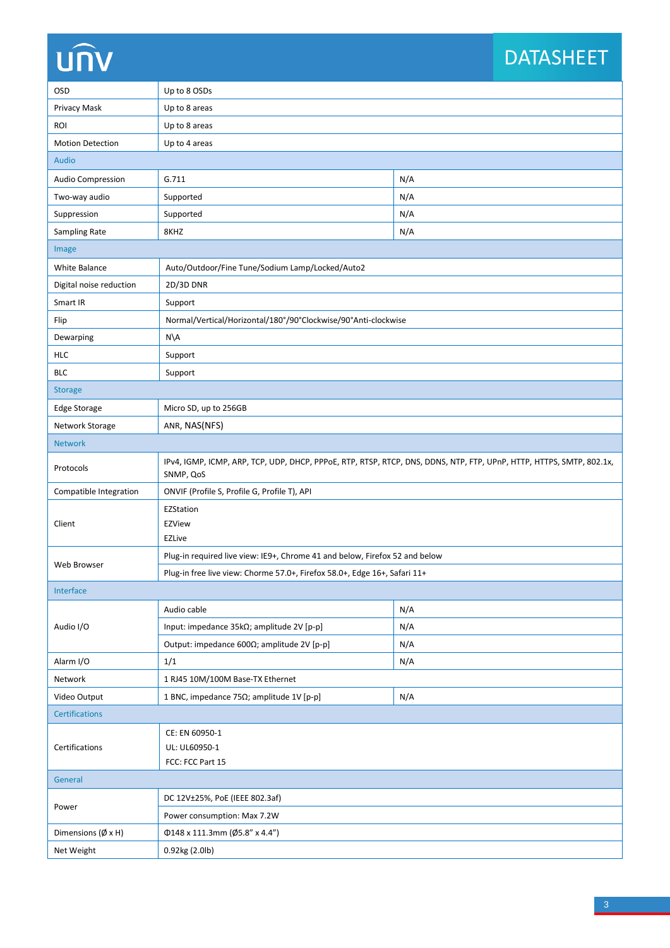# **UNV**

## DATASHEET

| <b>OSD</b>                   | Up to 8 OSDs                                                                                                                      |     |  |  |  |  |
|------------------------------|-----------------------------------------------------------------------------------------------------------------------------------|-----|--|--|--|--|
| Privacy Mask                 | Up to 8 areas                                                                                                                     |     |  |  |  |  |
| <b>ROI</b>                   | Up to 8 areas                                                                                                                     |     |  |  |  |  |
| <b>Motion Detection</b>      | Up to 4 areas                                                                                                                     |     |  |  |  |  |
| <b>Audio</b>                 |                                                                                                                                   |     |  |  |  |  |
| Audio Compression            | G.711                                                                                                                             | N/A |  |  |  |  |
| Two-way audio                | Supported                                                                                                                         | N/A |  |  |  |  |
| Suppression                  | Supported                                                                                                                         | N/A |  |  |  |  |
| Sampling Rate                | 8KHZ                                                                                                                              | N/A |  |  |  |  |
| Image                        |                                                                                                                                   |     |  |  |  |  |
| White Balance                | Auto/Outdoor/Fine Tune/Sodium Lamp/Locked/Auto2                                                                                   |     |  |  |  |  |
| Digital noise reduction      | 2D/3D DNR                                                                                                                         |     |  |  |  |  |
| Smart IR                     | Support                                                                                                                           |     |  |  |  |  |
| Flip                         | Normal/Vertical/Horizontal/180°/90°Clockwise/90°Anti-clockwise                                                                    |     |  |  |  |  |
| Dewarping                    | $N\setminus A$                                                                                                                    |     |  |  |  |  |
| <b>HLC</b>                   | Support                                                                                                                           |     |  |  |  |  |
| <b>BLC</b>                   | Support                                                                                                                           |     |  |  |  |  |
| <b>Storage</b>               |                                                                                                                                   |     |  |  |  |  |
| Edge Storage                 | Micro SD, up to 256GB                                                                                                             |     |  |  |  |  |
| Network Storage              | ANR, NAS(NFS)                                                                                                                     |     |  |  |  |  |
| <b>Network</b>               |                                                                                                                                   |     |  |  |  |  |
| Protocols                    | IPv4, IGMP, ICMP, ARP, TCP, UDP, DHCP, PPPoE, RTP, RTSP, RTCP, DNS, DDNS, NTP, FTP, UPnP, HTTP, HTTPS, SMTP, 802.1x,<br>SNMP, QoS |     |  |  |  |  |
| Compatible Integration       | ONVIF (Profile S, Profile G, Profile T), API                                                                                      |     |  |  |  |  |
| Client                       | EZStation<br><b>EZView</b><br><b>EZLive</b>                                                                                       |     |  |  |  |  |
|                              | Plug-in required live view: IE9+, Chrome 41 and below, Firefox 52 and below                                                       |     |  |  |  |  |
| Web Browser                  | Plug-in free live view: Chorme 57.0+, Firefox 58.0+, Edge 16+, Safari 11+                                                         |     |  |  |  |  |
| Interface                    |                                                                                                                                   |     |  |  |  |  |
|                              | Audio cable                                                                                                                       | N/A |  |  |  |  |
| Audio I/O                    | Input: impedance 35kΩ; amplitude 2V [p-p]                                                                                         | N/A |  |  |  |  |
|                              | Output: impedance 600Ω; amplitude 2V [p-p]                                                                                        | N/A |  |  |  |  |
| Alarm I/O                    | 1/1                                                                                                                               | N/A |  |  |  |  |
| Network                      | 1 RJ45 10M/100M Base-TX Ethernet                                                                                                  |     |  |  |  |  |
| Video Output                 | 1 BNC, impedance 75 $\Omega$ ; amplitude 1V [p-p]                                                                                 | N/A |  |  |  |  |
| <b>Certifications</b>        |                                                                                                                                   |     |  |  |  |  |
| Certifications               | CE: EN 60950-1<br>UL: UL60950-1<br>FCC: FCC Part 15                                                                               |     |  |  |  |  |
| General                      |                                                                                                                                   |     |  |  |  |  |
| Power                        | DC 12V±25%, PoE (IEEE 802.3af)                                                                                                    |     |  |  |  |  |
|                              | Power consumption: Max 7.2W                                                                                                       |     |  |  |  |  |
| Dimensions $(\emptyset x H)$ | Φ148 x 111.3mm (Ø5.8" x 4.4")                                                                                                     |     |  |  |  |  |
| Net Weight                   | 0.92kg (2.0lb)                                                                                                                    |     |  |  |  |  |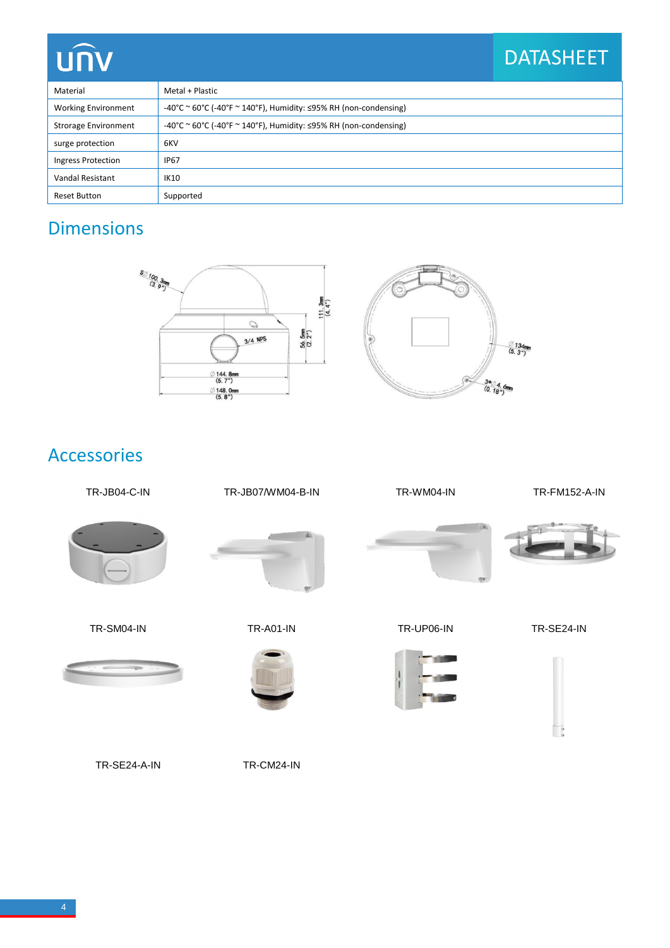## **UNV**

## DATASHEET

 $\overline{\phantom{a}}$ 

| Material                    | Metal + Plastic                                                                  |  |  |
|-----------------------------|----------------------------------------------------------------------------------|--|--|
| <b>Working Environment</b>  | $-40^{\circ}$ C ~ 60°C (-40°F ~ 140°F), Humidity: $\leq$ 95% RH (non-condensing) |  |  |
| <b>Strorage Environment</b> | $-40^{\circ}$ C ~ 60°C (-40°F ~ 140°F), Humidity: $\leq$ 95% RH (non-condensing) |  |  |
| surge protection            | 6KV                                                                              |  |  |
| Ingress Protection          | <b>IP67</b>                                                                      |  |  |
| Vandal Resistant            | <b>IK10</b>                                                                      |  |  |
| Reset Button                | Supported                                                                        |  |  |

### Dimensions



#### Accessories



TR-SE24-A-IN TR-CM24-IN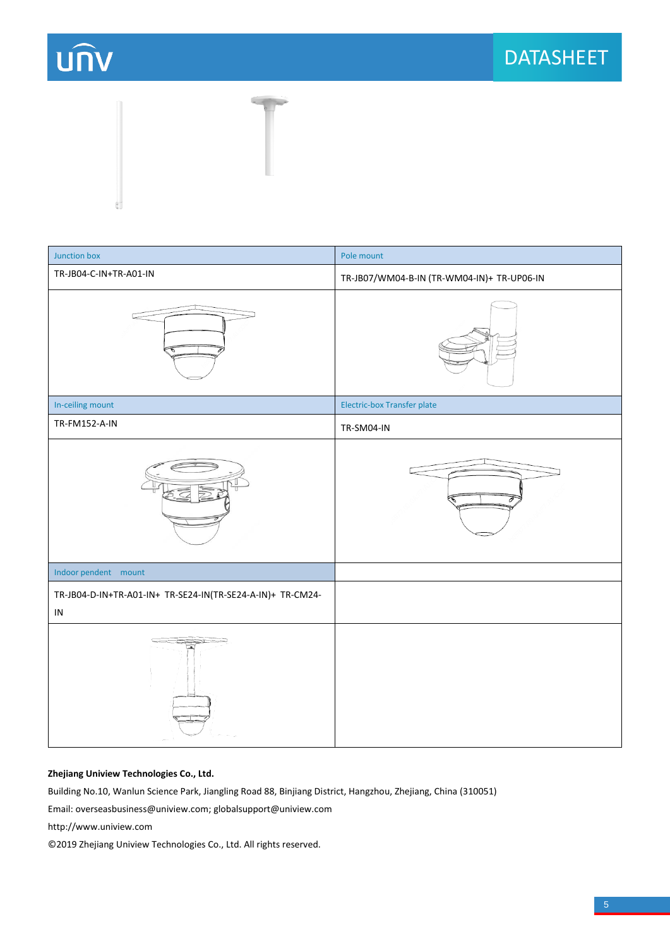



| Junction box                                                           | Pole mount                                 |
|------------------------------------------------------------------------|--------------------------------------------|
| TR-JB04-C-IN+TR-A01-IN                                                 | TR-JB07/WM04-B-IN (TR-WM04-IN)+ TR-UP06-IN |
|                                                                        |                                            |
| In-ceiling mount                                                       | Electric-box Transfer plate                |
| TR-FM152-A-IN                                                          | TR-SM04-IN                                 |
|                                                                        |                                            |
| Indoor pendent mount                                                   |                                            |
| TR-JB04-D-IN+TR-A01-IN+ TR-SE24-IN(TR-SE24-A-IN)+ TR-CM24-<br>$\sf IN$ |                                            |
|                                                                        |                                            |

#### **Zhejiang Uniview Technologies Co., Ltd.**

Building No.10, Wanlun Science Park, Jiangling Road 88, Binjiang District, Hangzhou, Zhejiang, China (310051)

Email: [overseasbusiness@uniview.com;](mailto:overseasbusiness@uniview.com) globalsupport@uniview.com

http://www.uniview.com

© 2019 Zhejiang Uniview Technologies Co., Ltd. All rights reserved.